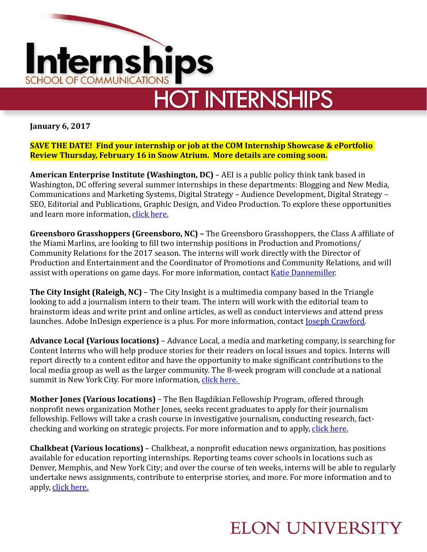

**HOT INTERNSHIPS** 

**January 6, 2017** 

**SAVE THE DATE! Find your internship or job at the COM Internship Showcase & ePortfolio Review Thursday, February 16 in Snow Atrium. More details are coming soon.** 

**American Enterprise Institute (Washington, DC)** – AEI is a public policy think tank based in Washington, DC offering several summer internships in these departments: Blogging and New Media, Communications and Marketing Systems, Digital Strategy - Audience Development, Digital Strategy -SEO, Editorial and Publications, Graphic Design, and Video Production. To explore these opportunities and learn more information, click here.

**Greensboro Grasshoppers (Greensboro, NC)** – The Greensboro Grasshoppers, the Class A affiliate of the Miami Marlins, are looking to fill two internship positions in Production and Promotions/ Community Relations for the 2017 season. The interns will work directly with the Director of Production and Entertainment and the Coordinator of Promotions and Community Relations, and will assist with operations on game days. For more information, contact Katie Dannemiller.

**The City Insight (Raleigh, NC)** – The City Insight is a multimedia company based in the Triangle looking to add a journalism intern to their team. The intern will work with the editorial team to brainstorm ideas and write print and online articles, as well as conduct interviews and attend press launches. Adobe InDesign experience is a plus. For more information, contact **Joseph Crawford**.

**Advance Local (Various locations)** – Advance Local, a media and marketing company, is searching for Content Interns who will help produce stories for their readers on local issues and topics. Interns will report directly to a content editor and have the opportunity to make significant contributions to the local media group as well as the larger community. The 8-week program will conclude at a national summit in New York City. For more information, click here.

**Mother Jones (Various locations)** – The Ben Bagdikian Fellowship Program, offered through nonprofit news organization Mother Jones, seeks recent graduates to apply for their journalism fellowship. Fellows will take a crash course in investigative journalism, conducting research, factchecking and working on strategic projects. For more information and to apply, click here.

**Chalkbeat (Various locations)** – Chalkbeat, a nonprofit education news organization, has positions available for education reporting internships. Reporting teams cover schools in locations such as Denver, Memphis, and New York City; and over the course of ten weeks, interns will be able to regularly undertake news assignments, contribute to enterprise stories, and more. For more information and to apply, click here.

## **ELON UNIVERSITY**